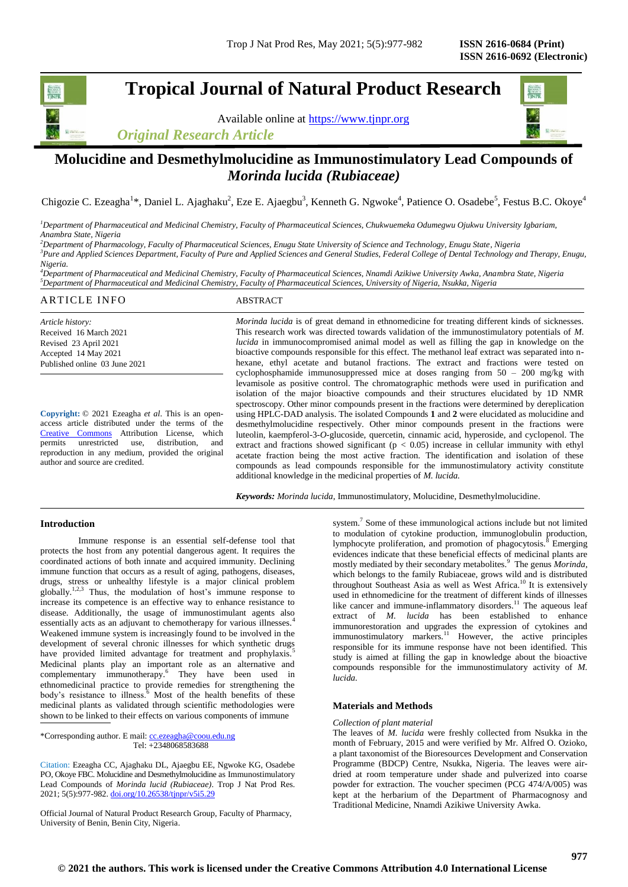**Tropical Journal of Natural Product Research**

Available online at [https://www.tjnpr.org](https://www.tjnpr.org/)





## **Molucidine and Desmethylmolucidine as Immunostimulatory Lead Compounds of**  *Morinda lucida (Rubiaceae)*

Chigozie C. Ezeagha<sup>1\*</sup>, Daniel L. Ajaghaku<sup>2</sup>, Eze E. Ajaegbu<sup>3</sup>, Kenneth G. Ngwoke<sup>4</sup>, Patience O. Osadebe<sup>5</sup>, Festus B.C. Okoye<sup>4</sup>

*<sup>1</sup>Department of Pharmaceutical and Medicinal Chemistry, Faculty of Pharmaceutical Sciences, Chukwuemeka Odumegwu Ojukwu University Igbariam, Anambra State, Nigeria*

*<sup>2</sup>Department of Pharmacology, Faculty of Pharmaceutical Sciences, Enugu State University of Science and Technology, Enugu State, Nigeria <sup>3</sup>Pure and Applied Sciences Department, Faculty of Pure and Applied Sciences and General Studies, Federal College of Dental Technology and Therapy, Enugu,* 

*Nigeria. <sup>4</sup>Department of Pharmaceutical and Medicinal Chemistry, Faculty of Pharmaceutical Sciences, Nnamdi Azikiwe University Awka, Anambra State, Nigeria*

*<sup>5</sup>Department of Pharmaceutical and Medicinal Chemistry, Faculty of Pharmaceutical Sciences, University of Nigeria, Nsukka, Nigeria*

# ARTICLE INFO ABSTRACT

*Article history:* Received 16 March 2021 Revised 23 April 2021 Accepted 14 May 2021 Published online 03 June 2021

**Copyright:** © 2021 Ezeagha *et al*. This is an openaccess article distributed under the terms of the [Creative Commons](https://creativecommons.org/licenses/by/4.0/) Attribution License, which permits unrestricted use, distribution, and reproduction in any medium, provided the original author and source are credited.

*Morinda lucida* is of great demand in ethnomedicine for treating different kinds of sicknesses. This research work was directed towards validation of the immunostimulatory potentials of *M. lucida* in immunocompromised animal model as well as filling the gap in knowledge on the bioactive compounds responsible for this effect. The methanol leaf extract was separated into nhexane, ethyl acetate and butanol fractions. The extract and fractions were tested on cyclophosphamide immunosuppressed mice at doses ranging from  $50 - 200$  mg/kg with levamisole as positive control. The chromatographic methods were used in purification and isolation of the major bioactive compounds and their structures elucidated by 1D NMR spectroscopy. Other minor compounds present in the fractions were determined by dereplication using HPLC-DAD analysis. The isolated Compounds **1** and **2** were elucidated as molucidine and desmethylmolucidine respectively. Other minor compounds present in the fractions were luteolin, kaempferol-3-*O*-glucoside, quercetin, cinnamic acid, hyperoside, and cyclopenol. The extract and fractions showed significant ( $p < 0.05$ ) increase in cellular immunity with ethyl acetate fraction being the most active fraction. The identification and isolation of these compounds as lead compounds responsible for the immunostimulatory activity constitute additional knowledge in the medicinal properties of *M. lucida.*

*Keywords: Morinda lucida*, Immunostimulatory, Molucidine, Desmethylmolucidine.

## **Introduction**

Immune response is an essential self-defense tool that protects the host from any potential dangerous agent. It requires the coordinated actions of both innate and acquired immunity. Declining immune function that occurs as a result of aging, pathogens, diseases, drugs, stress or unhealthy lifestyle is a major clinical problem globally.1,2,3 Thus, the modulation of host's immune response to increase its competence is an effective way to enhance resistance to disease. Additionally, the usage of immunostimulant agents also essentially acts as an adjuvant to chemotherapy for various illnesses.<sup>4</sup> Weakened immune system is increasingly found to be involved in the development of several chronic illnesses for which synthetic drugs have provided limited advantage for treatment and prophylaxis.<sup>5</sup> Medicinal plants play an important role as an alternative and complementary immunotherapy.<sup>6</sup> They have been used in ethnomedicinal practice to provide remedies for strengthening the body's resistance to illness.<sup>6</sup> Most of the health benefits of these medicinal plants as validated through scientific methodologies were shown to be linked to their effects on various components of immune

\*Corresponding author. E mail: cc.ezeagha@coou.edu.ng Tel: +2348068583688

Citation: Ezeagha CC, Ajaghaku DL, Ajaegbu EE, Ngwoke KG, Osadebe PO, Okoye FBC. Molucidine and Desmethylmolucidine as Immunostimulatory Lead Compounds of *Morinda lucid (Rubiaceae)*. Trop J Nat Prod Res. 2021; 5(5):977-982. [doi.org/10.26538/tjnpr/v5i5.2](http://www.doi.org/10.26538/tjnpr/v1i4.5)9

Official Journal of Natural Product Research Group, Faculty of Pharmacy, University of Benin, Benin City, Nigeria.

system.<sup>7</sup> Some of these immunological actions include but not limited to modulation of cytokine production, immunoglobulin production, lymphocyte proliferation, and promotion of phagocytosis.<sup>8</sup> Emerging evidences indicate that these beneficial effects of medicinal plants are mostly mediated by their secondary metabolites.<sup>9</sup> The genus *Morinda*, which belongs to the family Rubiaceae, grows wild and is distributed throughout Southeast Asia as well as West Africa.<sup>10</sup> It is extensively used in ethnomedicine for the treatment of different kinds of illnesses like cancer and immune-inflammatory disorders.<sup>11</sup> The aqueous leaf extract of *M. lucida* has been established to enhance immunorestoration and upgrades the expression of cytokines and immunostimulatory markers.<sup>11</sup> However, the active principles responsible for its immune response have not been identified. This study is aimed at filling the gap in knowledge about the bioactive compounds responsible for the immunostimulatory activity of *M. lucida.*

#### **Materials and Methods**

## *Collection of plant material*

The leaves of *M. lucida* were freshly collected from Nsukka in the month of February, 2015 and were verified by Mr. Alfred O. Ozioko, a plant taxonomist of the Bioresources Development and Conservation Programme (BDCP) Centre, Nsukka, Nigeria. The leaves were airdried at room temperature under shade and pulverized into coarse powder for extraction. The voucher specimen (PCG 474/A/005) was kept at the herbarium of the Department of Pharmacognosy and Traditional Medicine, Nnamdi Azikiwe University Awka.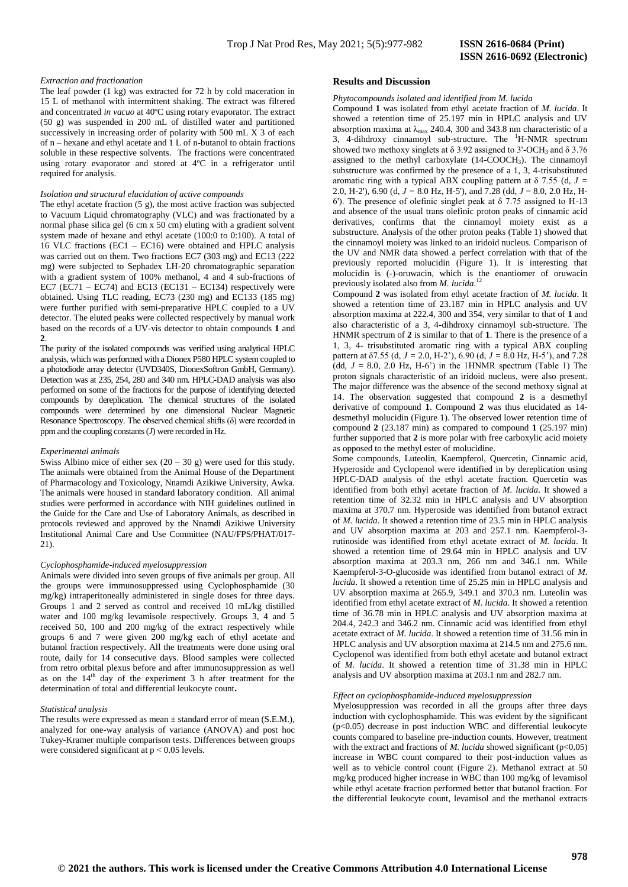#### *Extraction and fractionation*

The leaf powder (1 kg) was extracted for 72 h by cold maceration in 15 L of methanol with intermittent shaking. The extract was filtered and concentrated *in vacuo* at 40ºC using rotary evaporator. The extract (50 g) was suspended in 200 mL of distilled water and partitioned successively in increasing order of polarity with 500 mL X 3 of each of n – hexane and ethyl acetate and 1 L of n-butanol to obtain fractions soluble in these respective solvents. The fractions were concentrated using rotary evaporator and stored at 4ºC in a refrigerator until required for analysis.

#### *Isolation and structural elucidation of active compounds*

The ethyl acetate fraction (5 g), the most active fraction was subjected to Vacuum Liquid chromatography (VLC) and was fractionated by a normal phase silica gel (6 cm x 50 cm) eluting with a gradient solvent system made of hexane and ethyl acetate (100:0 to 0:100). A total of 16 VLC fractions (EC1 – EC16) were obtained and HPLC analysis was carried out on them. Two fractions EC7 (303 mg) and EC13 (222 mg) were subjected to Sephadex LH-20 chromatographic separation with a gradient system of 100% methanol, 4 and 4 sub-fractions of EC7 (EC71 – EC74) and EC13 (EC131 – EC134) respectively were obtained. Using TLC reading, EC73 (230 mg) and EC133 (185 mg) were further purified with semi-preparative HPLC coupled to a UV detector. The eluted peaks were collected respectively by manual work based on the records of a UV-vis detector to obtain compounds **1** and **2**.

The purity of the isolated compounds was verified using analytical HPLC analysis, which was performed with a Dionex P580 HPLC system coupled to a photodiode array detector (UVD340S, DionexSoftron GmbH, Germany). Detection was at 235, 254, 280 and 340 nm. HPLC-DAD analysis was also performed on some of the fractions for the purpose of identifying detected compounds by dereplication. The chemical structures of the isolated compounds were determined by one dimensional Nuclear Magnetic Resonance Spectroscopy. The observed chemical shifts (δ) were recorded in ppm and the coupling constants (*J*) were recorded in Hz.

#### *Experimental animals*

Swiss Albino mice of either sex  $(20 - 30$  g) were used for this study. The animals were obtained from the Animal House of the Department of Pharmacology and Toxicology, Nnamdi Azikiwe University, Awka. The animals were housed in standard laboratory condition. All animal studies were performed in accordance with NIH guidelines outlined in the Guide for the Care and Use of Laboratory Animals, as described in protocols reviewed and approved by the Nnamdi Azikiwe University Institutional Animal Care and Use Committee (NAU/FPS/PHAT/017- 21).

#### *Cyclophosphamide-induced myelosuppression*

Animals were divided into seven groups of five animals per group. All the groups were immunosuppressed using Cyclophosphamide (30 mg/kg) intraperitoneally administered in single doses for three days. Groups 1 and 2 served as control and received 10 mL/kg distilled water and 100 mg/kg levamisole respectively. Groups 3, 4 and 5 received 50, 100 and 200 mg/kg of the extract respectively while groups 6 and 7 were given 200 mg/kg each of ethyl acetate and butanol fraction respectively. All the treatments were done using oral route, daily for 14 consecutive days. Blood samples were collected from retro orbital plexus before and after immunosuppression as well as on the  $14<sup>th</sup>$  day of the experiment 3 h after treatment for the determination of total and differential leukocyte count**.** 

#### *Statistical analysis*

The results were expressed as mean  $\pm$  standard error of mean (S.E.M.), analyzed for one-way analysis of variance (ANOVA) and post hoc Tukey-Kramer multiple comparison tests. Differences between groups were considered significant at  $p < 0.05$  levels.

#### **Results and Discussion**

## *Phytocompounds isolated and identified from M. lucida*

Compound **1** was isolated from ethyl acetate fraction of *M. lucida*. It showed a retention time of 25.197 min in HPLC analysis and UV absorption maxima at  $\lambda_{\text{max}}$  240.4, 300 and 343.8 nm characteristic of a 3, 4-dihdroxy cinnamovl sub-structure. The  $H-MMR$  spectrum showed two methoxy singlets at  $\delta$  3.92 assigned to 3'-OCH<sub>3</sub> and  $\delta$  3.76 assigned to the methyl carboxylate (14-COOCH3). The cinnamoyl substructure was confirmed by the presence of a 1, 3, 4-trisubstituted aromatic ring with a typical ABX coupling pattern at  $\delta$  7.55 (d,  $J =$ 2.0, H-2'), 6.90 (d,  $J = 8.0$  Hz, H-5'), and 7.28 (dd,  $J = 8.0$ , 2.0 Hz, H-6'). The presence of olefinic singlet peak at δ 7.75 assigned to H-13 and absence of the usual trans olefinic proton peaks of cinnamic acid derivatives, confirms that the cinnamoyl moiety exist as a substructure. Analysis of the other proton peaks (Table 1) showed that the cinnamoyl moiety was linked to an iridoid nucleus. Comparison of the UV and NMR data showed a perfect correlation with that of the previously reported molucidin (Figure 1). It is interesting that molucidin is (-)-oruwacin, which is the enantiomer of oruwacin previously isolated also from *M. lucida*. 12

Compound **2** was isolated from ethyl acetate fraction of *M. lucida*. It showed a retention time of 23.187 min in HPLC analysis and UV absorption maxima at 222.4, 300 and 354, very similar to that of **1** and also characteristic of a 3, 4-dihdroxy cinnamoyl sub-structure. The HNMR spectrum of **2** is similar to that of **1**. There is the presence of a 1, 3, 4- trisubstituted aromatic ring with a typical ABX coupling pattern at  $\delta$ 7.55 (d, *J* = 2.0, H-2'), 6.90 (d, *J* = 8.0 Hz, H-5'), and 7.28 (dd,  $J = 8.0$ , 2.0 Hz, H-6<sup>\*</sup>) in the 1HNMR spectrum (Table 1) The proton signals characteristic of an iridoid nucleus, were also present. The major difference was the absence of the second methoxy signal at 14. The observation suggested that compound **2** is a desmethyl derivative of compound **1**. Compound **2** was thus elucidated as 14 desmethyl molucidin (Figure 1). The observed lower retention time of compound **2** (23.187 min) as compared to compound **1** (25.197 min) further supported that **2** is more polar with free carboxylic acid moiety as opposed to the methyl ester of molucidine.

Some compounds, Luteolin, Kaempferol, Quercetin, Cinnamic acid, Hyperoside and Cyclopenol were identified in by dereplication using HPLC-DAD analysis of the ethyl acetate fraction. Quercetin was identified from both ethyl acetate fraction of *M. lucida*. It showed a retention time of 32.32 min in HPLC analysis and UV absorption maxima at 370.7 nm. Hyperoside was identified from butanol extract of *M. lucida*. It showed a retention time of 23.5 min in HPLC analysis and UV absorption maxima at 203 and 257.1 nm. Kaempferol-3 rutinoside was identified from ethyl acetate extract of *M. lucida*. It showed a retention time of 29.64 min in HPLC analysis and UV absorption maxima at 203.3 nm, 266 nm and 346.1 nm. While Kaempferol-3-O-glucoside was identified from butanol extract of *M. lucida*. It showed a retention time of 25.25 min in HPLC analysis and UV absorption maxima at 265.9, 349.1 and 370.3 nm. Luteolin was identified from ethyl acetate extract of *M. lucida*. It showed a retention time of 36.78 min in HPLC analysis and UV absorption maxima at 204.4, 242.3 and 346.2 nm. Cinnamic acid was identified from ethyl acetate extract of *M. lucida*. It showed a retention time of 31.56 min in HPLC analysis and UV absorption maxima at 214.5 nm and 275.6 nm. Cyclopenol was identified from both ethyl acetate and butanol extract of *M. lucida*. It showed a retention time of 31.38 min in HPLC analysis and UV absorption maxima at 203.1 nm and 282.7 nm.

#### *Effect on cyclophosphamide-induced myelosuppression*

Myelosuppression was recorded in all the groups after three days induction with cyclophosphamide. This was evident by the significant (p<0.05) decrease in post induction WBC and differential leukocyte counts compared to baseline pre-induction counts. However, treatment with the extract and fractions of *M. lucida* showed significant (p<0.05) increase in WBC count compared to their post-induction values as well as to vehicle control count (Figure 2). Methanol extract at 50 mg/kg produced higher increase in WBC than 100 mg/kg of levamisol while ethyl acetate fraction performed better that butanol fraction. For the differential leukocyte count, levamisol and the methanol extracts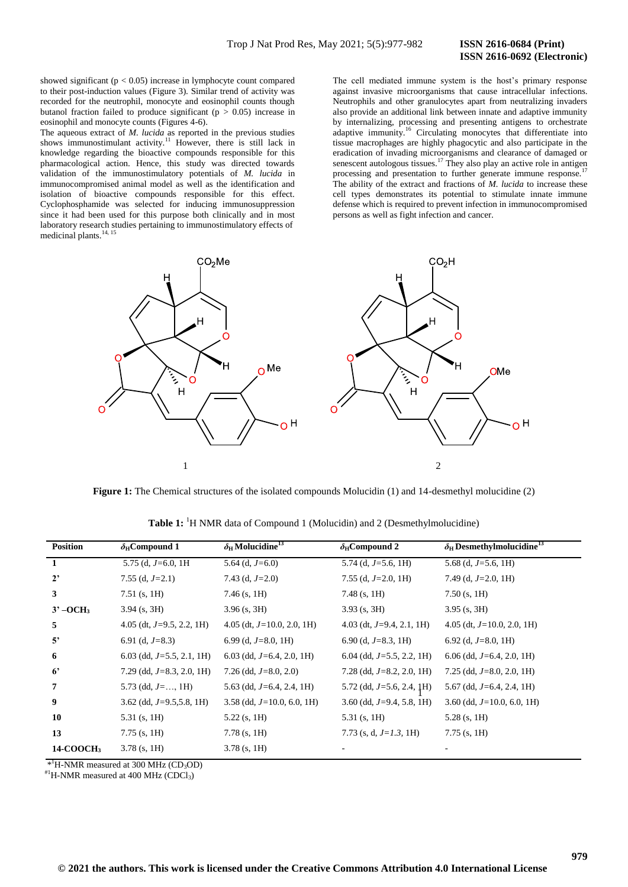## **ISSN 2616-0692 (Electronic)**

showed significant ( $p < 0.05$ ) increase in lymphocyte count compared to their post-induction values (Figure 3). Similar trend of activity was recorded for the neutrophil, monocyte and eosinophil counts though butanol fraction failed to produce significant ( $p > 0.05$ ) increase in eosinophil and monocyte counts (Figures 4-6).

The aqueous extract of *M. lucida* as reported in the previous studies shows immunostimulant activity.<sup>11</sup> However, there is still lack in knowledge regarding the bioactive compounds responsible for this pharmacological action. Hence, this study was directed towards validation of the immunostimulatory potentials of *M. lucida* in immunocompromised animal model as well as the identification and isolation of bioactive compounds responsible for this effect. Cyclophosphamide was selected for inducing immunosuppression since it had been used for this purpose both clinically and in most laboratory research studies pertaining to immunostimulatory effects of medicinal plants.<sup>14, 15</sup>

The cell mediated immune system is the host's primary response against invasive microorganisms that cause intracellular infections. Neutrophils and other granulocytes apart from neutralizing invaders also provide an additional link between innate and adaptive immunity by internalizing, processing and presenting antigens to orchestrate adaptive immunity.<sup>16</sup> Circulating monocytes that differentiate into tissue macrophages are highly phagocytic and also participate in the eradication of invading microorganisms and clearance of damaged or senescent autologous tissues.<sup>17</sup> They also play an active role in antigen processing and presentation to further generate immune response. The ability of the extract and fractions of *M. lucida* to increase these cell types demonstrates its potential to stimulate innate immune defense which is required to prevent infection in immunocompromised persons as well as fight infection and cancer.



**Figure 1:** The Chemical structures of the isolated compounds Molucidin (1) and 14-desmethyl molucidine (2)

| <b>Position</b>               | $\delta_{\rm H}$ Compound 1   | $\delta_H$ Molucidine <sup>13</sup> | $\delta_{\rm H}$ Compound 2  | $\delta_{\rm H}$ Desmethylmolucidine <sup>13</sup> |
|-------------------------------|-------------------------------|-------------------------------------|------------------------------|----------------------------------------------------|
| $\mathbf{1}$                  | 5.75 (d, $J=6.0$ , 1H         | 5.64 (d, $J=6.0$ )                  | 5.74 (d, $J=5.6$ , 1H)       | 5.68 (d, $J=5.6$ , 1H)                             |
| $2^{\circ}$                   | 7.55 (d, $J=2.1$ )            | 7.43 (d, $J=2.0$ )                  | 7.55 (d, $J=2.0$ , 1H)       | 7.49 (d, $J=2.0$ , 1H)                             |
| 3                             | $7.51$ (s, 1H)                | 7.46 (s, 1H)                        | $7.48$ (s, 1H)               | $7.50$ (s, 1H)                                     |
| $3^{\circ}$ -OCH <sub>3</sub> | $3.94$ (s, 3H)                | $3.96$ (s, 3H)                      | $3.93$ (s, 3H)               | $3.95$ (s, 3H)                                     |
| 5                             | 4.05 (dt, $J=9.5$ , 2.2, 1H)  | 4.05 (dt, $J=10.0$ , 2.0, 1H)       | 4.03 (dt, $J=9.4$ , 2.1, 1H) | 4.05 (dt, $J=10.0$ , 2.0, 1H)                      |
| 5'                            | 6.91 (d, $J=8.3$ )            | 6.99 (d, $J=8.0$ , 1H)              | 6.90 (d, $J=8.3$ , 1H)       | 6.92 (d, $J=8.0, 1H$ )                             |
| 6                             | 6.03 (dd, $J=5.5$ , 2.1, 1H)  | 6.03 (dd, $J=6.4$ , 2.0, 1H)        | 6.04 (dd, $J=5.5$ , 2.2, 1H) | $6.06$ (dd, J=6.4, 2.0, 1H)                        |
| $6^{\circ}$                   | 7.29 (dd, $J=8.3$ , 2.0, 1H)  | 7.26 (dd, $J=8.0, 2.0$ )            | 7.28 (dd, $J=8.2$ , 2.0, 1H) | 7.25 (dd, $J=8.0, 2.0, 1H$ )                       |
| $\overline{7}$                | 5.73 (dd, $J = \ldots$ , 1H)  | 5.63 (dd, $J=6.4$ , 2.4, 1H)        | 5.72 (dd, $J=5.6$ , 2.4, 1H) | 5.67 (dd, $J=6.4$ , 2.4, 1H)                       |
| 9                             | $3.62$ (dd, $J=9.5,5.8, 1H$ ) | 3.58 (dd, $J=10.0$ , 6.0, 1H)       | 3.60 (dd, $J=9.4$ , 5.8, 1H) | 3.60 (dd, $J=10.0$ , 6.0, 1H)                      |
| 10                            | $5.31$ (s, 1H)                | $5.22$ (s, 1H)                      | $5.31$ (s, 1H)               | $5.28$ (s, 1H)                                     |
| 13                            | $7.75$ (s, 1H)                | $7.78$ (s, 1H)                      | 7.73 (s, d, $J=1.3$ , 1H)    | $7.75$ (s, 1H)                                     |
| 14-COOCH <sub>3</sub>         | $3.78$ (s, 1H)                | $3.78$ (s, 1H)                      |                              |                                                    |

**Table 1:** <sup>1</sup>H NMR data of Compound 1 (Molucidin) and 2 (Desmethylmolucidine)

 $*$ <sup>1</sup>H-NMR measured at 300 MHz (CD<sub>3</sub>OD)

 $H<sup>1</sup>H-NMR$  measured at 400 MHz (CDCl<sub>3</sub>)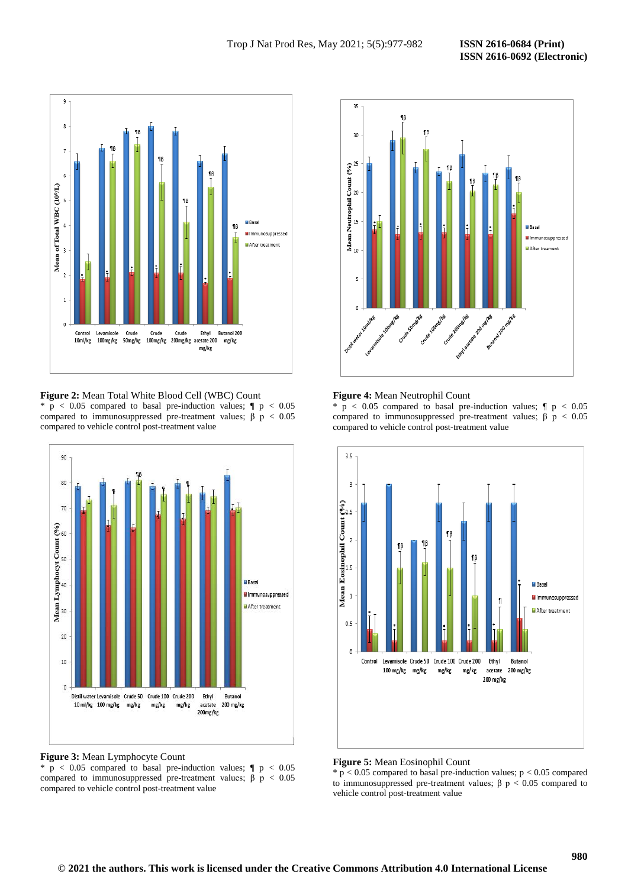

**Figure 2:** Mean Total White Blood Cell (WBC) Count  $p < 0.05$  compared to basal pre-induction values;  $\parallel p < 0.05$ compared to immunosuppressed pre-treatment values;  $β$  p < 0.05 compared to vehicle control post-treatment value



**Figure 3:** Mean Lymphocyte Count  $p < 0.05$  compared to basal pre-induction values;  $\parallel p < 0.05$ compared to immunosuppressed pre-treatment values;  $\beta$  p < 0.05 compared to vehicle control post-treatment value



#### **Figure 4:** Mean Neutrophil Count

 $p < 0.05$  compared to basal pre-induction values;  $\parallel p < 0.05$ compared to immunosuppressed pre-treatment values;  $β$  p < 0.05 compared to vehicle control post-treatment value



#### **Figure 5:** Mean Eosinophil Count

 $* p < 0.05$  compared to basal pre-induction values;  $p < 0.05$  compared to immunosuppressed pre-treatment values;  $β$  p < 0.05 compared to vehicle control post-treatment value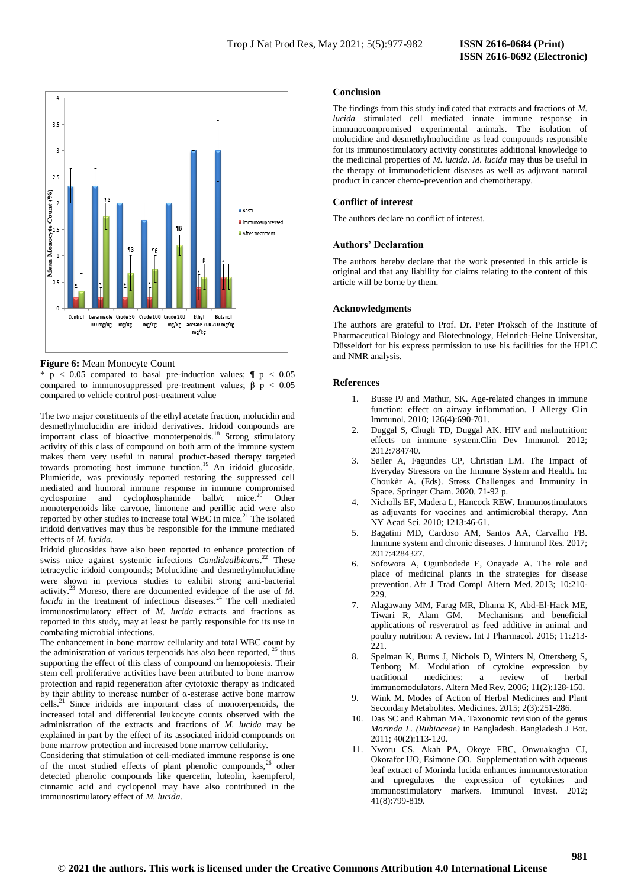

#### **Figure 6:** Mean Monocyte Count

\*  $p$  < 0.05 compared to basal pre-induction values;  $\parallel p$  < 0.05 compared to immunosuppressed pre-treatment values;  $\beta p < 0.05$ compared to vehicle control post-treatment value

The two major constituents of the ethyl acetate fraction, molucidin and desmethylmolucidin are iridoid derivatives. Iridoid compounds are important class of bioactive monoterpenoids.<sup>18</sup> Strong stimulatory activity of this class of compound on both arm of the immune system makes them very useful in natural product-based therapy targeted towards promoting host immune function.<sup>19</sup> An iridoid glucoside, Plumieride, was previously reported restoring the suppressed cell mediated and humoral immune response in immune compromised cyclosporine and cyclophosphamide balb/c mice.<sup>20</sup> Other monoterpenoids like carvone, limonene and perillic acid were also reported by other studies to increase total WBC in mice.<sup>21</sup> The isolated iridoid derivatives may thus be responsible for the immune mediated effects of *M. lucida.* 

Iridoid glucosides have also been reported to enhance protection of swiss mice against systemic infections *Candidaalbicans*. <sup>22</sup> These tetracyclic iridoid compounds; Molucidine and desmethylmolucidine were shown in previous studies to exhibit strong anti-bacterial activity.<sup>23</sup> Moreso, there are documented evidence of the use of *M. lucida* in the treatment of infectious diseases.<sup>24</sup> The cell mediated immunostimulatory effect of *M. lucida* extracts and fractions as reported in this study, may at least be partly responsible for its use in combating microbial infections.

The enhancement in bone marrow cellularity and total WBC count by the administration of various terpenoids has also been reported,  $2<sup>5</sup>$  thus supporting the effect of this class of compound on hemopoiesis. Their stem cell proliferative activities have been attributed to bone marrow protection and rapid regeneration after cytotoxic therapy as indicated by their ability to increase number of α-esterase active bone marrow  $\text{cells.}^{21}$  Since iridoids are important class of monoterpenoids, the increased total and differential leukocyte counts observed with the administration of the extracts and fractions of *M. lucida* may be explained in part by the effect of its associated iridoid compounds on bone marrow protection and increased bone marrow cellularity.

Considering that stimulation of cell-mediated immune response is one of the most studied effects of plant phenolic compounds,<sup>26</sup> other detected phenolic compounds like quercetin, luteolin, kaempferol, cinnamic acid and cyclopenol may have also contributed in the immunostimulatory effect of *M. lucida*.

### **Conclusion**

The findings from this study indicated that extracts and fractions of *M. lucida* stimulated cell mediated innate immune response in immunocompromised experimental animals. The isolation of molucidine and desmethylmolucidine as lead compounds responsible for its immunostimulatory activity constitutes additional knowledge to the medicinal properties of *M. lucida*. *M. lucida* may thus be useful in the therapy of immunodeficient diseases as well as adjuvant natural product in cancer chemo-prevention and chemotherapy.

## **Conflict of interest**

The authors declare no conflict of interest.

#### **Authors' Declaration**

The authors hereby declare that the work presented in this article is original and that any liability for claims relating to the content of this article will be borne by them.

#### **Acknowledgments**

The authors are grateful to Prof. Dr. Peter Proksch of the Institute of Pharmaceutical Biology and Biotechnology, Heinrich-Heine Universitat, Düsseldorf for his express permission to use his facilities for the HPLC and NMR analysis.

#### **References**

- 1. Busse PJ and Mathur, SK. Age-related changes in immune function: effect on airway inflammation. J Allergy Clin Immunol. 2010; 126(4):690-701.
- 2. Duggal S, Chugh TD, Duggal AK. HIV and malnutrition: effects on immune system.Clin Dev Immunol. 2012; 2012:784740.
- 3. Seiler A, Fagundes CP, Christian LM. The Impact of Everyday Stressors on the Immune System and Health. In: Choukèr A. (Eds). Stress Challenges and Immunity in Space. Springer Cham. 2020. 71-92 p.
- 4. Nicholls EF, Madera L, Hancock REW. Immunostimulators as adjuvants for vaccines and antimicrobial therapy. Ann NY Acad Sci. 2010; 1213:46-61.
- 5. Bagatini MD, Cardoso AM, Santos AA, Carvalho FB. Immune system and chronic diseases. J Immunol Res. 2017; 2017:4284327.
- Sofowora A, Ogunbodede E, Onayade A. The role and place of medicinal plants in the strategies for disease prevention. Afr J Trad Compl Altern Med. 2013; 10:210- 229.
- 7. Alagawany MM, Farag MR, Dhama K, Abd-El-Hack ME, Tiwari R, Alam GM. Mechanisms and beneficial applications of resveratrol as feed additive in animal and poultry nutrition: A review. Int J Pharmacol. 2015; 11:213- 221.
- 8. Spelman K, Burns J, Nichols D, Winters N, Ottersberg S, Tenborg M. Modulation of cytokine expression by traditional medicines: a review of herbal immunomodulators. Altern Med Rev. 2006; 11(2):128‐150.
- 9. Wink M. Modes of Action of Herbal Medicines and Plant Secondary Metabolites. Medicines. 2015; 2(3):251-286.
- 10. Das SC and Rahman MA. Taxonomic revision of the genus *Morinda L. (Rubiaceae)* in Bangladesh. Bangladesh J Bot. 2011; 40(2):113-120.
- 11. Nworu CS, Akah PA, Okoye FBC, Onwuakagba CJ, Okorafor UO, Esimone CO. Supplementation with aqueous leaf extract of Morinda lucida enhances immunorestoration and upregulates the expression of cytokines and immunostimulatory markers. Immunol Invest. 2012; 41(8):799-819.